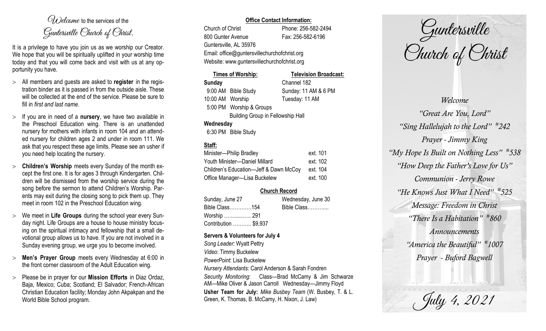$O(\lambda)$  elcame to the services of the Guntersville Church of Christ.

It is a privilege to have you join us as we worship our Creator. We hope that you will be spiritually uplifted in your worship time today and that you will come back and visit with us at any opportunity you have.

- All members and guests are asked to **register** in the registration binder as it is passed in from the outside aisle. These will be collected at the end of the service. Please be sure to fill in *first and last name*.
- $>$  If you are in need of a **nursery**, we have two available in the Preschool Education wing. There is an unattended nursery for mothers with infants in room 104 and an attended nursery for children ages 2 and under in room 111. We ask that you respect these age limits. Please see an usher if you need help locating the nursery.
- **Children's Worship** meets every Sunday of the month except the first one. It is for ages 3 through Kindergarten. Children will be dismissed from the worship service during the song before the sermon to attend Children's Worship. Parents may exit during the closing song to pick them up. They meet in room 102 in the Preschool Education wing.
- We meet in **Life Groups** during the school year every Sunday night. Life Groups are a house to house ministry focusing on the spiritual intimacy and fellowship that a small devotional group allows us to have. If you are not involved in a Sunday evening group, we urge you to become involved.
- **Men's Prayer Group** meets every Wednesday at 6:00 in the front corner classroom of the Adult Education wing.
- Please be in prayer for our **Mission Efforts** in Diaz Ordaz, Baja, Mexico; Cuba; Scotland; El Salvador; French-African Christian Education facility; Monday John Akpakpan and the World Bible School program.

## **Office Contact Information:**

Church of Christ Phone: 256-582-2494 800 Gunter Avenue Fax: 256-582-6196 Guntersville, AL 35976 Website: www.guntersvillechurchofchrist.org

Email: office@guntersvillechurchofchrist.org

| <b>Times of Worship:</b>                 |                          | <b>Television Broadcast:</b> |  |  |
|------------------------------------------|--------------------------|------------------------------|--|--|
| <b>Sunday</b>                            |                          | Channel 182                  |  |  |
|                                          | 9:00 AM Bible Study      | Sunday: 11 AM & 6 PM         |  |  |
| 10:00 AM Worship                         |                          | Tuesday: 11 AM               |  |  |
|                                          | 5:00 PM Worship & Groups |                              |  |  |
| <b>Building Group in Fellowship Hall</b> |                          |                              |  |  |
| Wednesday                                |                          |                              |  |  |
|                                          |                          |                              |  |  |

# 6:30 PM Bible Study

# **Staff:**

| Minister-Philip Bradley                | ext. 101 |
|----------------------------------------|----------|
| Youth Minister-Daniel Millard          | ext. 102 |
| Children's Education-Jeff & Dawn McCoy | ext. 104 |
| Office Manager-Lisa Buckelew           | ext. 100 |

## **Church Record**

| Sunday, June 27       | Wednesday, June 30 |             |
|-----------------------|--------------------|-------------|
| Bible Class154        |                    | Bible Class |
| Worship ……………. 291    |                    |             |
| Contribution  \$9,937 |                    |             |

#### **Servers & Volunteers for July 4**

*Song Leader:* Wyatt Pettry *Video*: Timmy Buckelew *PowerPoint*: Lisa Buckelew *Nursery Attendants:* Carol Anderson & Sarah Fondren *Security Monitoring*: Class—Brad McCamy & Jim Schwarze AM—Mike Oliver & Jason Carroll Wednesday—Jimmy Floyd **Usher Team for July:** *Mike Busbey Team* (W. Busbey, T. & L. Green, K. Thomas, B. McCamy, H. Nixon, J. Law)

Guntersville Church of Christ

*Welcome "Great Are You, Lord" "Sing Hallelujah to the Lord" # 242 Prayer - Jimmy King "My Hope Is Built on Nothing Less" # 538 "How Deep the Father's Love for Us" Communion - Jerry Rowe "He Knows Just What I Need" # 525 Message: Freedom in Christ "There Is a Habitation" # 860 Announcements "America the Beautiful" # 1007 Prayer - Buford Bagwell*

July 4, 2021